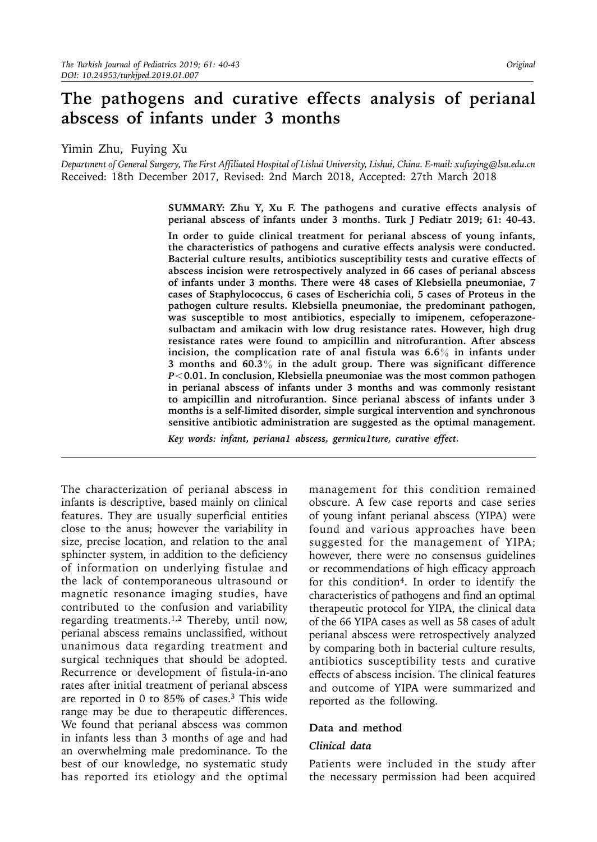# **The pathogens and curative effects analysis of perianal abscess of infants under 3 months**

Yimin Zhu, Fuying Xu

*Department of General Surgery, The First Affiliated Hospital of Lishui University, Lishui, China. E-mail: [xufuying@lsu.edu.cn](mailto:xufuying@lsu.edu.cn)* Received: 18th December 2017, Revised: 2nd March 2018, Accepted: 27th March 2018

> **SUMMARY: Zhu Y, Xu F. The pathogens and curative effects analysis of perianal abscess of infants under 3 months. Turk J Pediatr 2019; 61: 40-43.**

> **In order to guide clinical treatment for perianal abscess of young infants, the characteristics of pathogens and curative effects analysis were conducted. Bacterial culture results, antibiotics susceptibility tests and curative effects of abscess incision were retrospectively analyzed in 66 cases of perianal abscess of infants under 3 months. There were 48 cases of Klebsiella pneumoniae, 7 cases of Staphylococcus, 6 cases of Escherichia coli, 5 cases of Proteus in the pathogen culture results. Klebsiella pneumoniae, the predominant pathogen, was susceptible to most antibiotics, especially to imipenem, cefoperazonesulbactam and amikacin with low drug resistance rates. However, high drug resistance rates were found to ampicillin and nitrofurantion. After abscess incision, the complication rate of anal fistula was 6.6**% **in infants under 3 months and 60.3**% **in the adult group. There was significant difference**  *P*<**0.01. In conclusion, Klebsiella pneumoniae was the most common pathogen in perianal abscess of infants under 3 months and was commonly resistant to ampicillin and nitrofurantion. Since perianal abscess of infants under 3 months is a self-limited disorder, simple surgical intervention and synchronous sensitive antibiotic administration are suggested as the optimal management.**

*Key words: infant, periana1 abscess, germicu1ture, curative effect.* 

The characterization of perianal abscess in infants is descriptive, based mainly on clinical features. They are usually superficial entities close to the anus; however the variability in size, precise location, and relation to the anal sphincter system, in addition to the deficiency of information on underlying fistulae and the lack of contemporaneous ultrasound or magnetic resonance imaging studies, have contributed to the confusion and variability regarding treatments.<sup>1,2</sup> Thereby, until now, perianal abscess remains unclassified, without unanimous data regarding treatment and surgical techniques that should be adopted. Recurrence or development of fistula-in-ano rates after initial treatment of perianal abscess are reported in 0 to 85% of cases.3 This wide range may be due to therapeutic differences. We found that perianal abscess was common in infants less than 3 months of age and had an overwhelming male predominance. To the best of our knowledge, no systematic study has reported its etiology and the optimal

management for this condition remained obscure. A few case reports and case series of young infant perianal abscess (YIPA) were found and various approaches have been suggested for the management of YIPA; however, there were no consensus guidelines or recommendations of high efficacy approach for this condition4. In order to identify the characteristics of pathogens and find an optimal therapeutic protocol for YIPA, the clinical data of the 66 YIPA cases as well as 58 cases of adult perianal abscess were retrospectively analyzed by comparing both in bacterial culture results, antibiotics susceptibility tests and curative effects of abscess incision. The clinical features and outcome of YIPA were summarized and reported as the following.

# **Data and method**

#### *Clinical data*

Patients were included in the study after the necessary permission had been acquired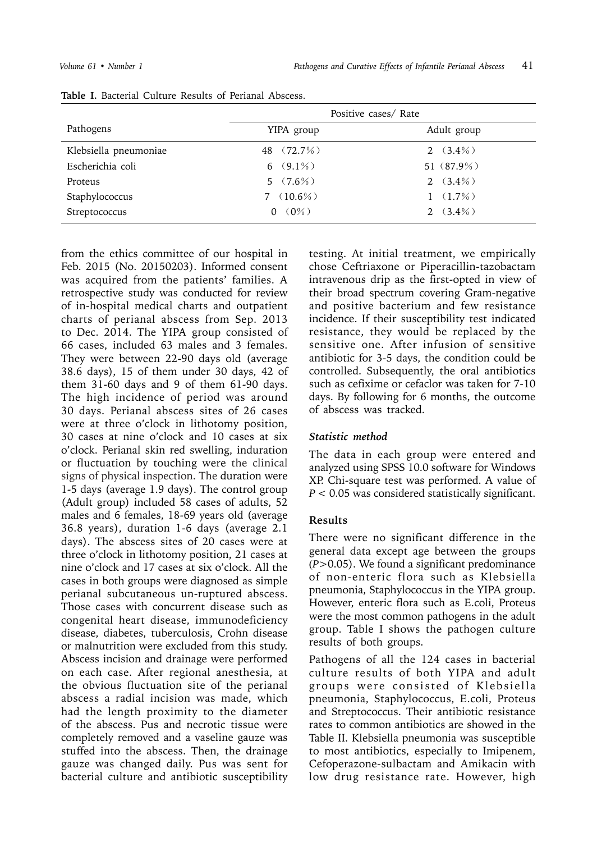|                       | Positive cases/ Rate |               |  |  |
|-----------------------|----------------------|---------------|--|--|
| Pathogens             | YIPA group           | Adult group   |  |  |
| Klebsiella pneumoniae | 48 (72.7%)           | 2 $(3.4\%)$   |  |  |
| Escherichia coli      | 6 $(9.1\%)$          | 51 $(87.9\%)$ |  |  |
| Proteus               | $5(7.6\%)$           | 2 $(3.4\%)$   |  |  |
| Staphylococcus        | $(10.6\%)$           | $1(1.7\%)$    |  |  |
| Streptococcus         | $(0\%)$<br>0         | 2 $(3.4\%)$   |  |  |

#### **Table I.** Bacterial Culture Results of Perianal Abscess.

from the ethics committee of our hospital in Feb. 2015 (No. 20150203). Informed consent was acquired from the patients' families. A retrospective study was conducted for review of in-hospital medical charts and outpatient charts of perianal abscess from Sep. 2013 to Dec. 2014. The YIPA group consisted of 66 cases, included 63 males and 3 females. They were between 22-90 days old (average 38.6 days), 15 of them under 30 days, 42 of them 31-60 days and 9 of them 61-90 days. The high incidence of period was around 30 days. Perianal abscess sites of 26 cases were at three o'clock in lithotomy position, 30 cases at nine o'clock and 10 cases at six o'clock. Perianal skin red swelling, induration or fluctuation by touching were the clinical signs of physical inspection. The duration were 1-5 days (average 1.9 days). The control group (Adult group) included 58 cases of adults, 52 males and 6 females, 18-69 years old (average 36.8 years), duration 1-6 days (average 2.1 days). The abscess sites of 20 cases were at three o'clock in lithotomy position, 21 cases at nine o'clock and 17 cases at six o'clock. All the cases in both groups were diagnosed as simple perianal subcutaneous un-ruptured abscess. Those cases with concurrent disease such as congenital heart disease, immunodeficiency disease, diabetes, tuberculosis, Crohn disease or malnutrition were excluded from this study. Abscess incision and drainage were performed on each case. After regional anesthesia, at the obvious fluctuation site of the perianal abscess a radial incision was made, which had the length proximity to the diameter of the abscess. Pus and necrotic tissue were completely removed and a vaseline gauze was stuffed into the abscess. Then, the drainage gauze was changed daily. Pus was sent for bacterial culture and antibiotic susceptibility

testing. At initial treatment, we empirically chose Ceftriaxone or Piperacillin-tazobactam intravenous drip as the first-opted in view of their broad spectrum covering Gram-negative and positive bacterium and few resistance incidence. If their susceptibility test indicated resistance, they would be replaced by the sensitive one. After infusion of sensitive antibiotic for 3-5 days, the condition could be controlled. Subsequently, the oral antibiotics such as cefixime or cefaclor was taken for 7-10 days. By following for 6 months, the outcome of abscess was tracked.

# *Statistic method*

The data in each group were entered and analyzed using SPSS 10.0 software for Windows XP. Chi-square test was performed. A value of *P* < 0.05 was considered statistically significant.

# **Results**

There were no significant difference in the general data except age between the groups (*P*>0.05). We found a significant predominance of non-enteric flora such as Klebsiella pneumonia, Staphylococcus in the YIPA group. However, enteric flora such as E.coli, Proteus were the most common pathogens in the adult group. Table I shows the pathogen culture results of both groups.

Pathogens of all the 124 cases in bacterial culture results of both YIPA and adult groups were consisted of Klebsiella pneumonia, Staphylococcus, E.coli, Proteus and Streptococcus. Their antibiotic resistance rates to common antibiotics are showed in the Table II. Klebsiella pneumonia was susceptible to most antibiotics, especially to Imipenem, Cefoperazone-sulbactam and Amikacin with low drug resistance rate. However, high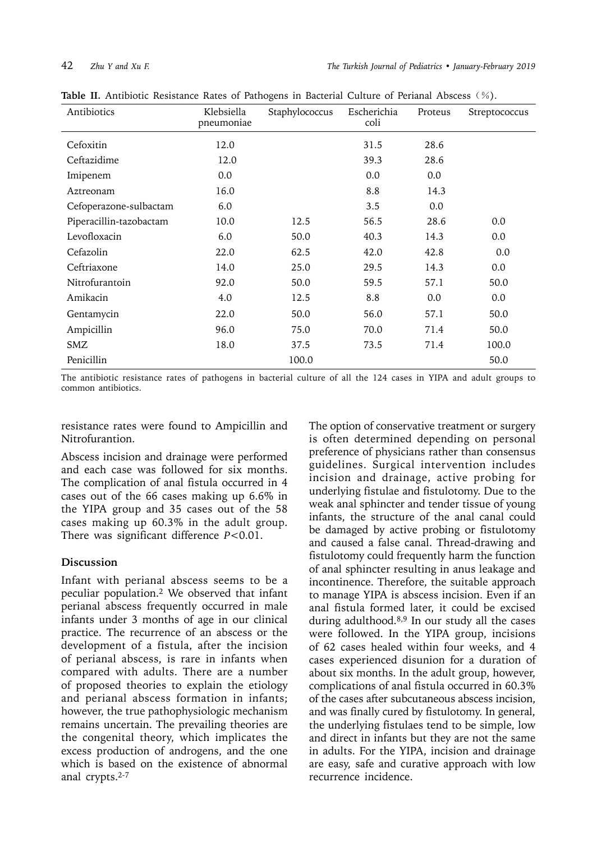| Antibiotics             | Klebsiella<br>pneumoniae | Staphylococcus | Escherichia<br>coli | Proteus | Streptococcus |
|-------------------------|--------------------------|----------------|---------------------|---------|---------------|
| Cefoxitin               | 12.0                     |                | 31.5                | 28.6    |               |
| Ceftazidime             | 12.0                     |                | 39.3                | 28.6    |               |
| Imipenem                | 0.0                      |                | 0.0                 | 0.0     |               |
| Aztreonam               | 16.0                     |                | 8.8                 | 14.3    |               |
| Cefoperazone-sulbactam  | 6.0                      |                | 3.5                 | 0.0     |               |
| Piperacillin-tazobactam | 10.0                     | 12.5           | 56.5                | 28.6    | 0.0           |
| Levofloxacin            | 6.0                      | 50.0           | 40.3                | 14.3    | 0.0           |
| Cefazolin               | 22.0                     | 62.5           | 42.0                | 42.8    | 0.0           |
| Ceftriaxone             | 14.0                     | 25.0           | 29.5                | 14.3    | 0.0           |
| Nitrofurantoin          | 92.0                     | 50.0           | 59.5                | 57.1    | 50.0          |
| Amikacin                | 4.0                      | 12.5           | 8.8                 | 0.0     | 0.0           |
| Gentamycin              | 22.0                     | 50.0           | 56.0                | 57.1    | 50.0          |
| Ampicillin              | 96.0                     | 75.0           | 70.0                | 71.4    | 50.0          |
| SMZ                     | 18.0                     | 37.5           | 73.5                | 71.4    | 100.0         |
| Penicillin              |                          | 100.0          |                     |         | 50.0          |

Table II. Antibiotic Resistance Rates of Pathogens in Bacterial Culture of Perianal Abscess (%).

The antibiotic resistance rates of pathogens in bacterial culture of all the 124 cases in YIPA and adult groups to common antibiotics.

resistance rates were found to Ampicillin and Nitrofurantion.

Abscess incision and drainage were performed and each case was followed for six months. The complication of anal fistula occurred in 4 cases out of the 66 cases making up 6.6% in the YIPA group and 35 cases out of the 58 cases making up 60.3% in the adult group. There was significant difference *P*<0.01.

# **Discussion**

Infant with perianal abscess seems to be a peculiar population.2 We observed that infant perianal abscess frequently occurred in male infants under 3 months of age in our clinical practice. The recurrence of an abscess or the development of a fistula, after the incision of perianal abscess, is rare in infants when compared with adults. There are a number of proposed theories to explain the etiology and perianal abscess formation in infants; however, the true pathophysiologic mechanism remains uncertain. The prevailing theories are the congenital theory, which implicates the excess production of androgens, and the one which is based on the existence of abnormal anal crypts.2-7

The option of conservative treatment or surgery is often determined depending on personal preference of physicians rather than consensus guidelines. Surgical intervention includes incision and drainage, active probing for underlying fistulae and fistulotomy. Due to the weak anal sphincter and tender tissue of young infants, the structure of the anal canal could be damaged by active probing or fistulotomy and caused a false canal. Thread-drawing and fistulotomy could frequently harm the function of anal sphincter resulting in anus leakage and incontinence. Therefore, the suitable approach to manage YIPA is abscess incision. Even if an anal fistula formed later, it could be excised during adulthood.8,9 In our study all the cases were followed. In the YIPA group, incisions of 62 cases healed within four weeks, and 4 cases experienced disunion for a duration of about six months. In the adult group, however, complications of anal fistula occurred in 60.3% of the cases after subcutaneous abscess incision, and was finally cured by fistulotomy. In general, the underlying fistulaes tend to be simple, low and direct in infants but they are not the same in adults. For the YIPA, incision and drainage are easy, safe and curative approach with low recurrence incidence.